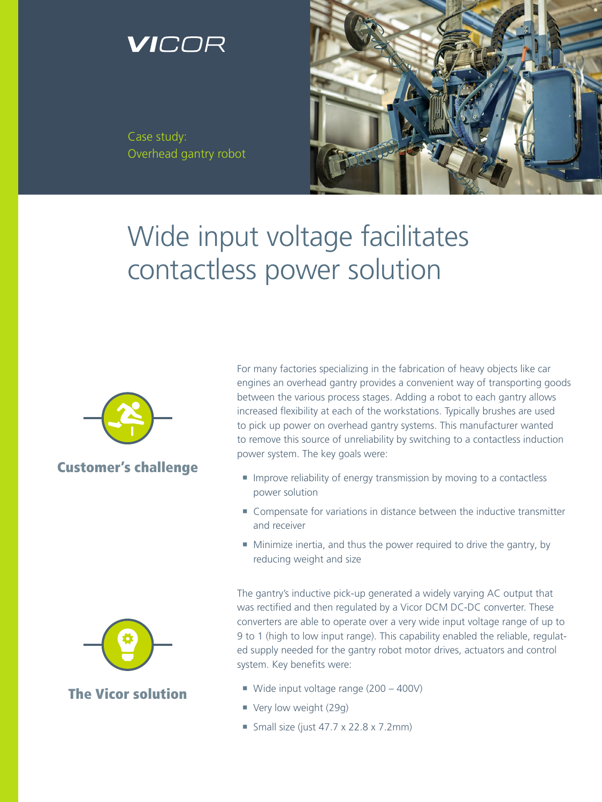## VICOR

Case study: Overhead gantry robot



# Wide input voltage facilitates contactless power solution



#### Customer's challenge



#### The Vicor solution

For many factories specializing in the fabrication of heavy objects like car engines an overhead gantry provides a convenient way of transporting goods between the various process stages. Adding a robot to each gantry allows increased flexibility at each of the workstations. Typically brushes are used to pick up power on overhead gantry systems. This manufacturer wanted to remove this source of unreliability by switching to a contactless induction power system. The key goals were:

- Improve reliability of energy transmission by moving to a contactless power solution
- Compensate for variations in distance between the inductive transmitter and receiver
- Minimize inertia, and thus the power required to drive the gantry, by reducing weight and size

The gantry's inductive pick-up generated a widely varying AC output that was rectified and then regulated by a Vicor DCM DC-DC converter. These converters are able to operate over a very wide input voltage range of up to 9 to 1 (high to low input range). This capability enabled the reliable, regulated supply needed for the gantry robot motor drives, actuators and control system. Key benefits were:

- Wide input voltage range (200 400V)
- Very low weight (29g)
- Small size (just  $47.7 \times 22.8 \times 7.2$ mm)